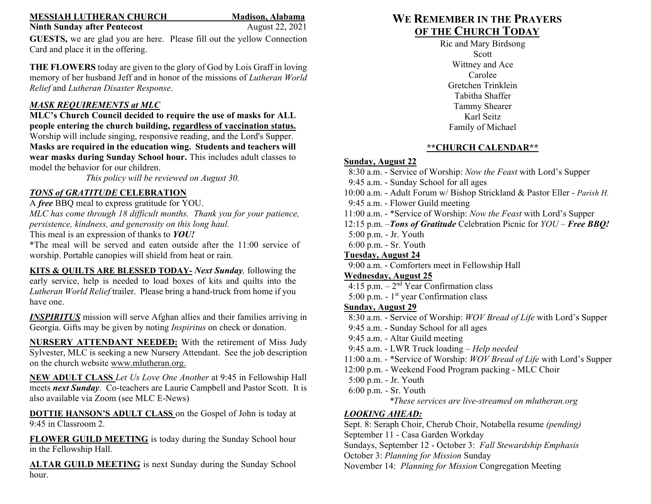#### **MESSIAH LUTHERAN CHURCH Madison, Alabama**

### **Ninth Sunday after Pentecost** August 22, 2021

**GUESTS,** we are glad you are here. Please fill out the yellow Connection Card and place it in the offering.

**THE FLOWERS** today are given to the glory of God by Lois Graff in loving memory of her husband Jeff and in honor of the missions of *Lutheran World Relief* and *Lutheran Disaster Response*.

### *MASK REQUIREMENTS at MLC*

**MLC's Church Council decided to require the use of masks for ALL people entering the church building, regardless of vaccination status.** Worship will include singing, responsive reading, and the Lord's Supper. **Masks are required in the education wing. Students and teachers will wear masks during Sunday School hour.** This includes adult classes to model the behavior for our children.

*This policy will be reviewed on August 30.*

# *TONS of GRATITUDE* **CELEBRATION**

A *free* BBQ meal to express gratitude for YOU.

*MLC has come through 18 difficult months. Thank you for your patience, persistence, kindness, and generosity on this long haul.*

This meal is an expression of thanks to *YOU!*

\*The meal will be served and eaten outside after the 11:00 service of worship. Portable canopies will shield from heat or rain.

**KITS & QUILTS ARE BLESSED TODAY-** *Next Sunday,* following the early service, help is needed to load boxes of kits and quilts into the *Lutheran World Relief* trailer. Please bring a hand-truck from home if you have one.

*INSPIRITUS* mission will serve Afghan allies and their families arriving in Georgia. Gifts may be given by noting *Inspiritus* on check or donation.

**NURSERY ATTENDANT NEEDED:** With the retirement of Miss Judy Sylvester, MLC is seeking a new Nursery Attendant. See the job description on the church website [www.mlutheran.org.](http://www.mlutheran.org/)

**NEW ADULT CLASS** *Let Us Love One Another* at 9:45 in Fellowship Hall meets *next Sunday*. Co-teachers are Laurie Campbell and Pastor Scott. It is also available via Zoom (see MLC E-News)

**DOTTIE HANSON'S ADULT CLASS** on the Gospel of John is today at 9:45 in Classroom 2.

FLOWER GUILD MEETING is today during the Sunday School hour in the Fellowship Hall.

**ALTAR GUILD MEETING** is next Sunday during the Sunday School hour.

# **WE REMEMBER IN THE PRAYERS OF THE CHURCH TODAY**

Ric and Mary Birdsong Scott Wittney and Ace Carolee Gretchen Trinklein Tabitha Shaffer Tammy Shearer Karl Seitz Family of Michael

## **\*\*CHURCH CALENDAR\*\***

## **Sunday, August 22**

 8:30 a.m. - Service of Worship: *Now the Feast* with Lord's Supper 9:45 a.m. - Sunday School for all ages 10:00 a.m. - Adult Forum w/ Bishop Strickland & Pastor Eller - *Parish H.* 9:45 a.m. - Flower Guild meeting 11:00 a.m. - \*Service of Worship: *Now the Feast* with Lord's Supper 12:15 p.m. –*Tons of Gratitude* Celebration Picnic for *YOU* – *Free BBQ!* 5:00 p.m. - Jr. Youth 6:00 p.m. - Sr. Youth **Tuesday, August 24**  9:00 a.m. - Comforters meet in Fellowship Hall **Wednesday, August 25**  4:15 p.m.  $-2<sup>nd</sup>$  Year Confirmation class 5:00 p.m. -  $1<sup>st</sup>$  year Confirmation class **Sunday, August 29** 8:30 a.m. - Service of Worship: *WOV Bread of Life* with Lord's Supper 9:45 a.m. - Sunday School for all ages 9:45 a.m. - Altar Guild meeting 9:45 a.m. - LWR Truck loading – *Help needed* 11:00 a.m. - \*Service of Worship: *WOV Bread of Life* with Lord's Supper 12:00 p.m. - Weekend Food Program packing - MLC Choir 5:00 p.m. - Jr. Youth 6:00 p.m. - Sr. Youth *\*These services are live-streamed on mlutheran.org LOOKING AHEAD:* 

Sept. 8: Seraph Choir, Cherub Choir, Notabella resume *(pending)* September 11 - Casa Garden Workday Sundays, September 12 - October 3: *Fall Stewardship Emphasis* October 3: *Planning for Mission* Sunday November 14: *Planning for Mission* Congregation Meeting